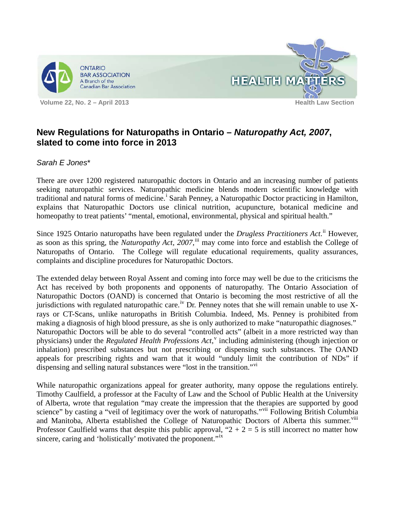



## **New Regulations for Naturopaths in Ontario –** *Naturopathy Act, 2007***, slated to come into force in 2013**

*Sarah E Jones*\*

There are over 1200 registered naturopathic doctors in Ontario and an increasing number of patients seeking naturopathic services. Naturopathic medicine blends modern scientific knowledge with trad[i](#page-1-0)tional and natural forms of medicine.<sup>i</sup> Sarah Penney, a Naturopathic Doctor practicing in Hamilton, explains that Naturopathic Doctors use clinical nutrition, acupuncture, botanical medicine and homeopathy to treat patients' "mental, emotional, environmental, physical and spiritual health."

Since 1925 Ontario naturopaths have been regulated under the *Drugless Practitioners Act*.<sup>[ii](#page-1-1)</sup> However, as soon as this spring, the *Naturopathy Act, 2007*,<sup>[iii](#page-1-2)</sup> may come into force and establish the College of Naturopaths of Ontario. The College will regulate educational requirements, quality assurances, complaints and discipline procedures for Naturopathic Doctors.

The extended delay between Royal Assent and coming into force may well be due to the criticisms the Act has received by both proponents and opponents of naturopathy. The Ontario Association of Naturopathic Doctors (OAND) is concerned that Ontario is becoming the most restrictive of all the jurisdictions with regulated naturopathic care.<sup>[iv](#page-1-3)</sup> Dr. Penney notes that she will remain unable to use Xrays or CT-Scans, unlike naturopaths in British Columbia. Indeed, Ms. Penney is prohibited from making a diagnosis of high blood pressure, as she is only authorized to make "naturopathic diagnoses." Naturopathic Doctors will be able to do several "controlled acts" (albeit in a more restricted way than physicians) under the *Regulated Health Professions Act*,<sup>[v](#page-1-4)</sup> including administering (though injection or inhalation) prescribed substances but not prescribing or dispensing such substances. The OAND appeals for prescribing rights and warn that it would "unduly limit the contribution of NDs" if dispensing and selling natural substances were "lost in the transition."[vi](#page-1-5)

While naturopathic organizations appeal for greater authority, many oppose the regulations entirely. Timothy Caulfield, a professor at the Faculty of Law and the School of Public Health at the University of Alberta, wrote that regulation "may create the impression that the therapies are supported by good science" by casting a "veil of legitimacy over the work of naturopaths."<sup>[vii](#page-1-6)</sup> Following British Columbia and Manitoba, Alberta established the College of Naturopathic Doctors of Alberta this summer.<sup>[viii](#page-1-7)</sup> Professor Caulfield warns that despite this public approval, " $2 + 2 = 5$  is still incorrect no matter how sincere, caring and 'holistically' motivated the proponent."<sup>[ix](#page-1-8)</sup>